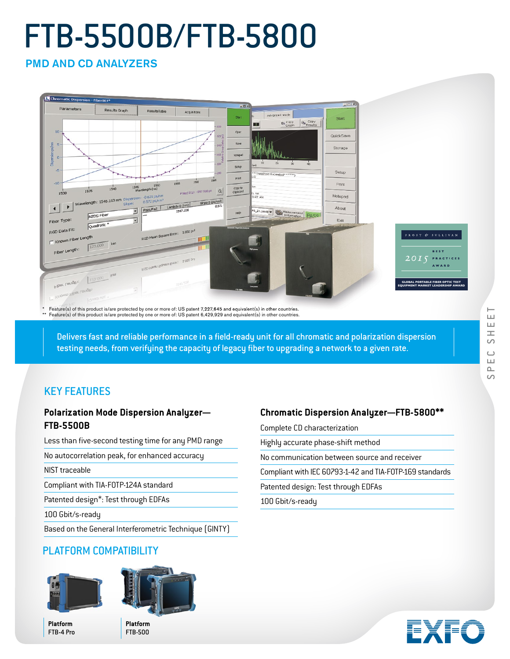# FTB-5500B/FTB-5800

PMD AND CD ANALYZERS



\* Feature(s) of this product is/are protected by one or more of: US patent 7,227,645 and equivalent(s) in other countries.<br>\*\* Feature(s) of this product is/are protected by one or more of: US patent 6,429,929 and equivalen

Delivers fast and reliable performance in a field-ready unit for all chromatic and polarization dispersion testing needs, from verifying the capacity of legacy fiber to upgrading a network to a given rate.

# KEY FEATURES

#### **Polarization Mode Dispersion Analyzer— FTB-5500B**

Less than five-second testing time for any PMD range

No autocorrelation peak, for enhanced accuracy

NIST traceable

Compliant with TIA-FOTP-124A standard

Patented design\*: Test through EDFAs

100 Gbit/s-ready

Based on the General Interferometric Technique (GINTY)

# PLATFORM COMPATIBILITY



**Platform** FTB-4 Pro



**Platform** FTB-500

# **Chromatic Dispersion Analyzer—FTB-5800\*\***

Complete CD characterization

Highly accurate phase-shift method

No communication between source and receiver

Compliant with IEC 60793-1-42 and TIA-FOTP-169 standards

Patented design: Test through EDFAs

100 Gbit/s-ready

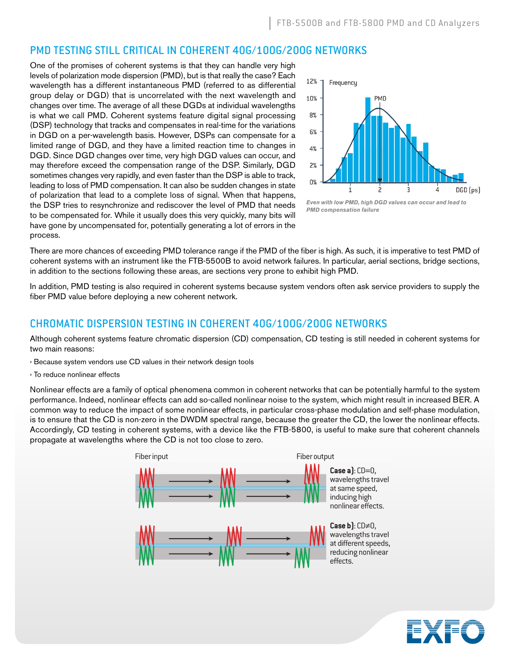#### PMD TESTING STILL CRITICAL IN COHERENT 40G/100G/200G NETWORKS

One of the promises of coherent systems is that they can handle very high levels of polarization mode dispersion (PMD), but is that really the case? Each wavelength has a different instantaneous PMD (referred to as differential group delay or DGD) that is uncorrelated with the next wavelength and changes over time. The average of all these DGDs at individual wavelengths is what we call PMD. Coherent systems feature digital signal processing (DSP) technology that tracks and compensates in real-time for the variations in DGD on a per-wavelength basis. However, DSPs can compensate for a limited range of DGD, and they have a limited reaction time to changes in DGD. Since DGD changes over time, very high DGD values can occur, and may therefore exceed the compensation range of the DSP. Similarly, DGD sometimes changes very rapidly, and even faster than the DSP is able to track, leading to loss of PMD compensation. It can also be sudden changes in state of polarization that lead to a complete loss of signal. When that happens, the DSP tries to resynchronize and rediscover the level of PMD that needs to be compensated for. While it usually does this very quickly, many bits will have gone by uncompensated for, potentially generating a lot of errors in the process.



*Even with low PMD, high DGD values can occur and lead to PMD compensation failure*

There are more chances of exceeding PMD tolerance range if the PMD of the fiber is high. As such, it is imperative to test PMD of coherent systems with an instrument like the FTB-5500B to avoid network failures. In particular, aerial sections, bridge sections, in addition to the sections following these areas, are sections very prone to exhibit high PMD.

In addition, PMD testing is also required in coherent systems because system vendors often ask service providers to supply the fiber PMD value before deploying a new coherent network.

#### CHROMATIC DISPERSION TESTING IN COHERENT 40G/100G/200G NETWORKS

Although coherent systems feature chromatic dispersion (CD) compensation, CD testing is still needed in coherent systems for two main reasons:

- › Because system vendors use CD values in their network design tools
- › To reduce nonlinear effects

Nonlinear effects are a family of optical phenomena common in coherent networks that can be potentially harmful to the system performance. Indeed, nonlinear effects can add so-called nonlinear noise to the system, which might result in increased BER. A common way to reduce the impact of some nonlinear effects, in particular cross-phase modulation and self-phase modulation, is to ensure that the CD is non-zero in the DWDM spectral range, because the greater the CD, the lower the nonlinear effects. Accordingly, CD testing in coherent systems, with a device like the FTB-5800, is useful to make sure that coherent channels propagate at wavelengths where the CD is not too close to zero.



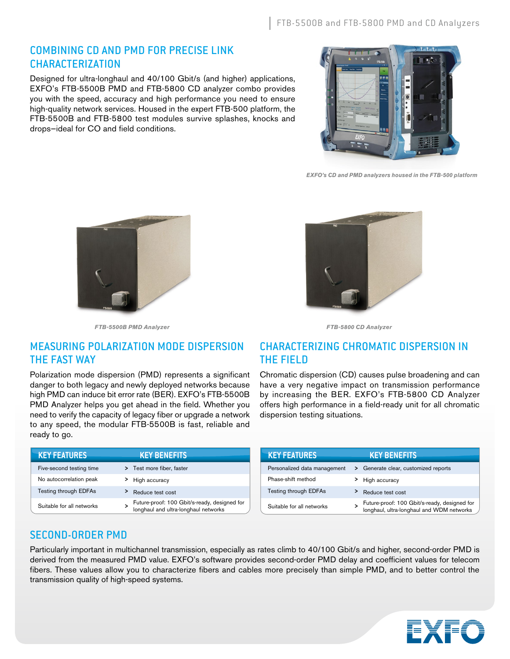#### COMBINING CD AND PMD FOR PRECISE LINK CHARACTERIZATION

Designed for ultra-longhaul and 40/100 Gbit/s (and higher) applications, EXFO's FTB-5500B PMD and FTB-5800 CD analyzer combo provides you with the speed, accuracy and high performance you need to ensure high-quality network services. Housed in the expert FTB-500 platform, the FTB-5500B and FTB-5800 test modules survive splashes, knocks and drops—ideal for CO and field conditions.



*EXFO's CD and PMD analyzers housed in the FTB-500 platform*





*FTB-5800 CD Analyzer*

# MEASURING POLARIZATION MODE DISPERSION THE FAST WAY

*FTB-5500B PMD Analyzer*

Polarization mode dispersion (PMD) represents a significant danger to both legacy and newly deployed networks because high PMD can induce bit error rate (BER). EXFO's FTB-5500B PMD Analyzer helps you get ahead in the field. Whether you need to verify the capacity of legacy fiber or upgrade a network to any speed, the modular FTB-5500B is fast, reliable and ready to go.

| <b>KEY FEATURES</b>       | <b>KEY BENEFITS</b>                                                                  |
|---------------------------|--------------------------------------------------------------------------------------|
| Five-second testing time  | > Test more fiber, faster                                                            |
| No autocorrelation peak   | High accuracy                                                                        |
| Testing through EDFAs     | Reduce test cost                                                                     |
| Suitable for all networks | Future-proof: 100 Gbit/s-ready, designed for<br>longhaul and ultra-longhaul networks |

# CHARACTERIZING CHROMATIC DISPERSION IN THE FIELD

Chromatic dispersion (CD) causes pulse broadening and can have a very negative impact on transmission performance by increasing the BER. EXFO's FTB-5800 CD Analyzer offers high performance in a field-ready unit for all chromatic dispersion testing situations.

| <b>KEY FEATURES</b>          | <b>KEY BENEFITS</b>                                                                       |
|------------------------------|-------------------------------------------------------------------------------------------|
| Personalized data management | > Generate clear, customized reports                                                      |
| Phase-shift method           | High accuracy                                                                             |
| <b>Testing through EDFAs</b> | Reduce test cost                                                                          |
| Suitable for all networks    | Future-proof: 100 Gbit/s-ready, designed for<br>longhaul, ultra-longhaul and WDM networks |

# SECOND-ORDER PMD

Particularly important in multichannel transmission, especially as rates climb to 40/100 Gbit/s and higher, second-order PMD is derived from the measured PMD value. EXFO's software provides second-order PMD delay and coefficient values for telecom fibers. These values allow you to characterize fibers and cables more precisely than simple PMD, and to better control the transmission quality of high-speed systems.

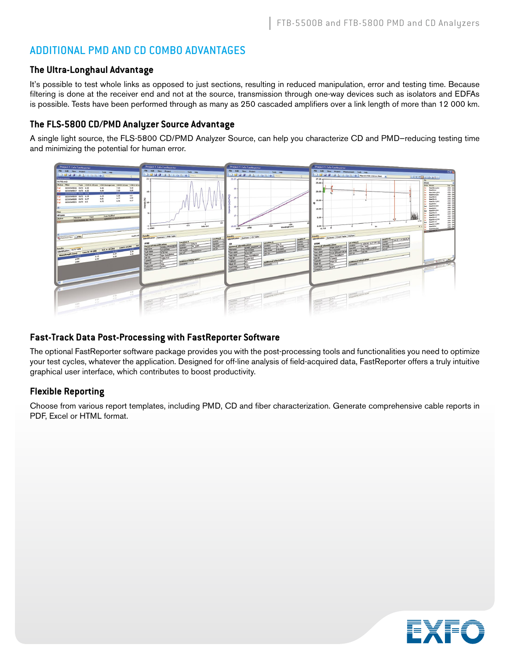#### ADDITIONAL PMD AND CD COMBO ADVANTAGES

#### **The Ultra-Longhaul Advantage**

It's possible to test whole links as opposed to just sections, resulting in reduced manipulation, error and testing time. Because filtering is done at the receiver end and not at the source, transmission through one-way devices such as isolators and EDFAs is possible. Tests have been performed through as many as 250 cascaded amplifiers over a link length of more than 12 000 km.

#### **The FLS-5800 CD/PMD Analyzer Source Advantage**

A single light source, the FLS-5800 CD/PMD Analyzer Source, can help you characterize CD and PMD—reducing testing time and minimizing the potential for human error.



#### **Fast-Track Data Post-Processing with FastReporter Software**

The optional FastReporter software package provides you with the post-processing tools and functionalities you need to optimize your test cycles, whatever the application. Designed for off-line analysis of field-acquired data, FastReporter offers a truly intuitive graphical user interface, which contributes to boost productivity.

#### **Flexible Reporting**

Choose from various report templates, including PMD, CD and fiber characterization. Generate comprehensive cable reports in PDF, Excel or HTML format.

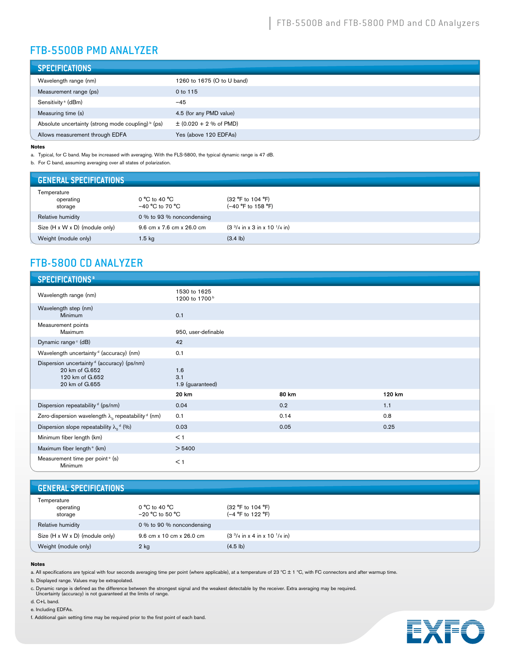# FTB-5500B PMD ANALYZER

| <b>SPECIFICATIONS</b>                              |                            |
|----------------------------------------------------|----------------------------|
| Wavelength range (nm)                              | 1260 to 1675 (O to U band) |
| Measurement range (ps)                             | 0 to 115                   |
| Sensitivity <sup>a</sup> (dBm)                     | $-45$                      |
| Measuring time (s)                                 | 4.5 (for any PMD value)    |
| Absolute uncertainty (strong mode coupling) b (ps) | $\pm$ (0.020 + 2 % of PMD) |
| Allows measurement through EDFA                    | Yes (above 120 EDFAs)      |

#### **Notes**

a. Typical, for C band. May be increased with averaging. With the FLS-5800, the typical dynamic range is 47 dB.

b. For C band, assuming averaging over all states of polarization.

| <b>GENERAL SPECIFICATIONS</b>       |                                      |                                                                           |
|-------------------------------------|--------------------------------------|---------------------------------------------------------------------------|
| Temperature<br>operating<br>storage | 0 °C to 40 °C<br>$-40 °C$ to 70 $°C$ | (32 °F to 104 °F)<br>(-40 °F to 158 °F)                                   |
| Relative humidity                   | 0 % to 93 % noncondensing            |                                                                           |
| Size (H x W x D) (module only)      | 9.6 cm x 7.6 cm x 26.0 cm            | $(3 \frac{3}{4} \text{ in } x 3 \text{ in } x 10 \frac{1}{4} \text{ in})$ |
| Weight (module only)                | 1.5 kg                               | $(3.4 \text{ lb})$                                                        |

# FTB-5800 CD ANALYZER

| <b>SPECIFICATIONS<sup>a</sup></b>                                                                             |                                           |       |        |
|---------------------------------------------------------------------------------------------------------------|-------------------------------------------|-------|--------|
| Wavelength range (nm)                                                                                         | 1530 to 1625<br>1200 to 1700 <sup>b</sup> |       |        |
| Wavelength step (nm)<br>Minimum                                                                               | 0.1                                       |       |        |
| Measurement points<br>Maximum                                                                                 | 950, user-definable                       |       |        |
| Dynamic range c (dB)                                                                                          | 42                                        |       |        |
| Wavelength uncertainty <sup>d</sup> (accuracy) (nm)                                                           | 0.1                                       |       |        |
| Dispersion uncertainty <sup>d</sup> (accuracy) (ps/nm)<br>20 km of G.652<br>120 km of G.652<br>20 km of G.655 | 1.6<br>3.1<br>1.9 (guaranteed)            |       |        |
|                                                                                                               | 20 km                                     | 80 km | 120 km |
| Dispersion repeatability d (ps/nm)                                                                            | 0.04                                      | 0.2   | 1.1    |
| Zero-dispersion wavelength $\lambda_0$ repeatability $d$ (nm)                                                 | 0.1                                       | 0.14  | 0.8    |
| Dispersion slope repeatability $\lambda_0$ <sup>d</sup> (%)                                                   | 0.03                                      | 0.05  | 0.25   |
| Minimum fiber length (km)                                                                                     | < 1                                       |       |        |
| Maximum fiber length <sup>e</sup> (km)                                                                        | > 5400                                    |       |        |
| Measurement time per point <sup>e</sup> (s)<br>Minimum                                                        | $<$ 1                                     |       |        |

#### **GENERAL SPECIFICATIONS**

| Temperature                    |                           |                                   |
|--------------------------------|---------------------------|-----------------------------------|
| operating                      | 0 °C to 40 °C             | (32 °F to 104 °F)                 |
| storage                        | $-20 °C$ to 50 $°C$       | (-4 °F to 122 °F)                 |
| Relative humidity              | 0 % to 90 % noncondensing |                                   |
| Size (H x W x D) (module only) | 9.6 cm x 10 cm x 26.0 cm  | $(33/4)$ in x 4 in x 10 $1/4$ in) |
| Weight (module only)           | $2$ kg                    | $(4.5 \, lb)$                     |

#### **Notes**

a. All specifications are typical with four seconds averaging time per point (where applicable), at a temperature of 23 °C ± 1 °C, with FC connectors and after warmup time.

b. Displayed range. Values may be extrapolated.

c. Dynamic range is defined as the difference between the strongest signal and the weakest detectable by the receiver. Extra averaging may be required. Uncertainty (accuracy) is not guaranteed at the limits of range.

d. C+L band.

e. Including EDFAs.



f. Additional gain setting time may be required prior to the first point of each band.